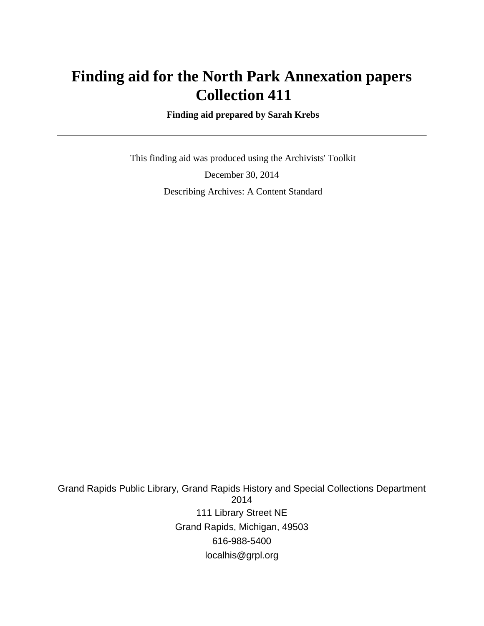# **Finding aid for the North Park Annexation papers Collection 411**

 **Finding aid prepared by Sarah Krebs**

 This finding aid was produced using the Archivists' Toolkit December 30, 2014 Describing Archives: A Content Standard

Grand Rapids Public Library, Grand Rapids History and Special Collections Department 2014 111 Library Street NE Grand Rapids, Michigan, 49503 616-988-5400 localhis@grpl.org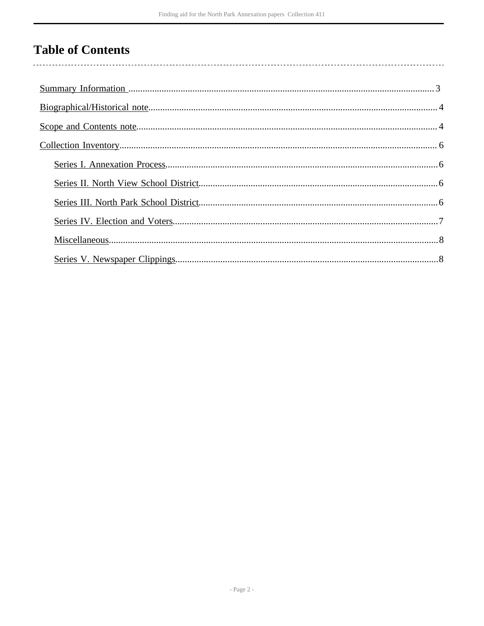# **Table of Contents**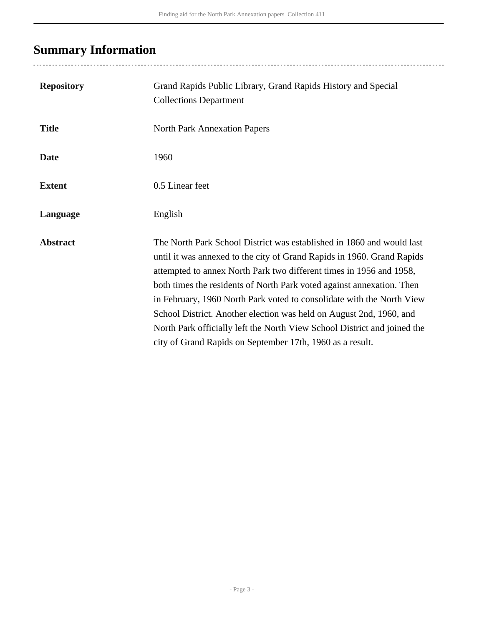# <span id="page-2-0"></span>**Summary Information**

| <b>Repository</b> | Grand Rapids Public Library, Grand Rapids History and Special<br><b>Collections Department</b>                                                                                                                                                                                                                                                                                                                                                                                                                                                                                           |
|-------------------|------------------------------------------------------------------------------------------------------------------------------------------------------------------------------------------------------------------------------------------------------------------------------------------------------------------------------------------------------------------------------------------------------------------------------------------------------------------------------------------------------------------------------------------------------------------------------------------|
| <b>Title</b>      | <b>North Park Annexation Papers</b>                                                                                                                                                                                                                                                                                                                                                                                                                                                                                                                                                      |
| <b>Date</b>       | 1960                                                                                                                                                                                                                                                                                                                                                                                                                                                                                                                                                                                     |
| <b>Extent</b>     | 0.5 Linear feet                                                                                                                                                                                                                                                                                                                                                                                                                                                                                                                                                                          |
| Language          | English                                                                                                                                                                                                                                                                                                                                                                                                                                                                                                                                                                                  |
| <b>Abstract</b>   | The North Park School District was established in 1860 and would last<br>until it was annexed to the city of Grand Rapids in 1960. Grand Rapids<br>attempted to annex North Park two different times in 1956 and 1958,<br>both times the residents of North Park voted against annexation. Then<br>in February, 1960 North Park voted to consolidate with the North View<br>School District. Another election was held on August 2nd, 1960, and<br>North Park officially left the North View School District and joined the<br>city of Grand Rapids on September 17th, 1960 as a result. |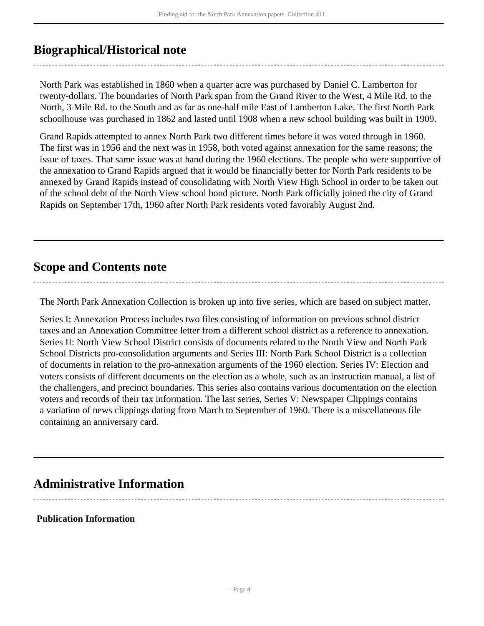## <span id="page-3-0"></span>**Biographical/Historical note**

North Park was established in 1860 when a quarter acre was purchased by Daniel C. Lamberton for twenty-dollars. The boundaries of North Park span from the Grand River to the West, 4 Mile Rd. to the North, 3 Mile Rd. to the South and as far as one-half mile East of Lamberton Lake. The first North Park schoolhouse was purchased in 1862 and lasted until 1908 when a new school building was built in 1909.

Grand Rapids attempted to annex North Park two different times before it was voted through in 1960. The first was in 1956 and the next was in 1958, both voted against annexation for the same reasons; the issue of taxes. That same issue was at hand during the 1960 elections. The people who were supportive of the annexation to Grand Rapids argued that it would be financially better for North Park residents to be annexed by Grand Rapids instead of consolidating with North View High School in order to be taken out of the school debt of the North View school bond picture. North Park officially joined the city of Grand Rapids on September 17th, 1960 after North Park residents voted favorably August 2nd.

### <span id="page-3-1"></span>**Scope and Contents note**

The North Park Annexation Collection is broken up into five series, which are based on subject matter.

Series I: Annexation Process includes two files consisting of information on previous school district taxes and an Annexation Committee letter from a different school district as a reference to annexation. Series II: North View School District consists of documents related to the North View and North Park School Districts pro-consolidation arguments and Series III: North Park School District is a collection of documents in relation to the pro-annexation arguments of the 1960 election. Series IV: Election and voters consists of different documents on the election as a whole, such as an instruction manual, a list of the challengers, and precinct boundaries. This series also contains various documentation on the election voters and records of their tax information. The last series, Series V: Newspaper Clippings contains a variation of news clippings dating from March to September of 1960. There is a miscellaneous file containing an anniversary card.

### **Administrative Information**

**Publication Information**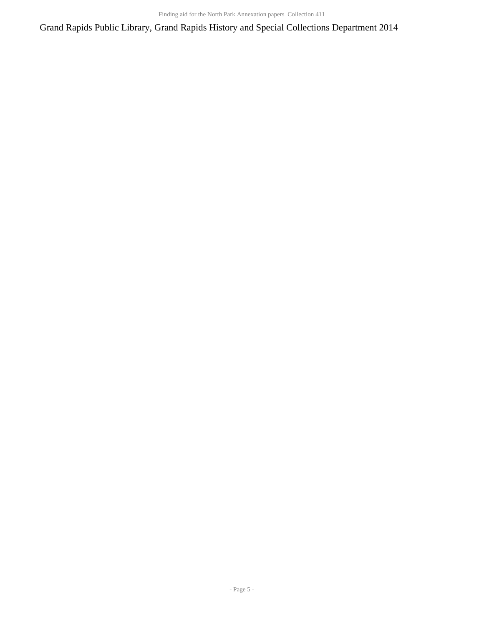Grand Rapids Public Library, Grand Rapids History and Special Collections Department 2014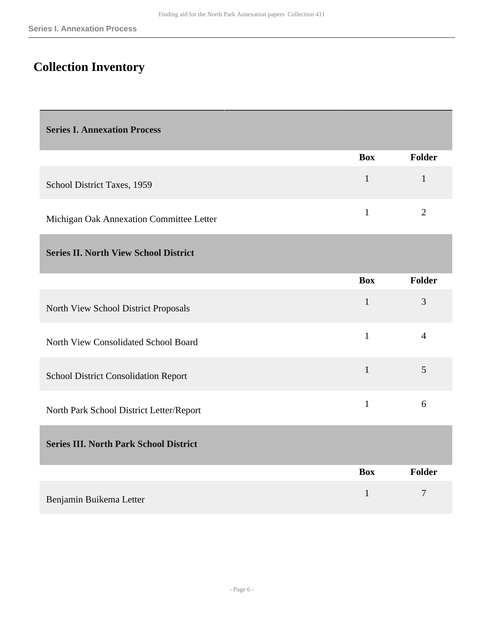## <span id="page-5-0"></span>**Collection Inventory**

<span id="page-5-1"></span>**Series I. Annexation Process** 

|                                          | Box | <b>Folder</b> |
|------------------------------------------|-----|---------------|
| School District Taxes, 1959              |     |               |
| Michigan Oak Annexation Committee Letter |     |               |

#### <span id="page-5-2"></span>**Series II. North View School District**

|                                             | <b>Box</b> | <b>Folder</b> |
|---------------------------------------------|------------|---------------|
| North View School District Proposals        |            | 3             |
| North View Consolidated School Board        |            | 4             |
| <b>School District Consolidation Report</b> |            | 5             |
| North Park School District Letter/Report    |            | $\mathfrak b$ |

### <span id="page-5-3"></span>**Series III. North Park School District**

|                         | <b>Box</b> | <b>Folder</b> |
|-------------------------|------------|---------------|
| Benjamin Buikema Letter |            | −             |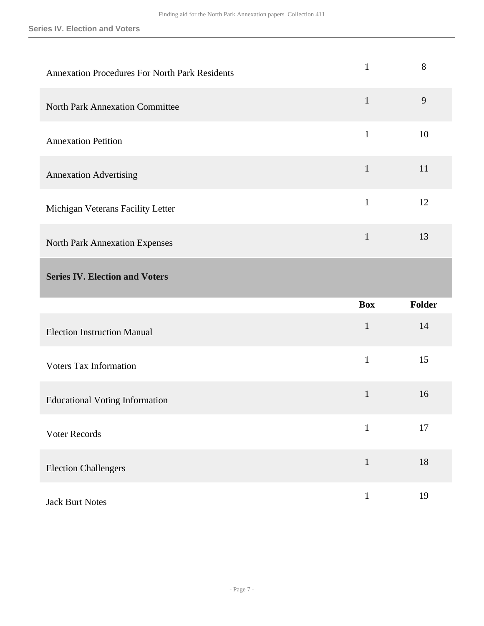<span id="page-6-0"></span>

| <b>Annexation Procedures For North Park Residents</b> | $\mathbf{1}$ | 8      |
|-------------------------------------------------------|--------------|--------|
| <b>North Park Annexation Committee</b>                | $\mathbf{1}$ | 9      |
| <b>Annexation Petition</b>                            | $\mathbf{1}$ | 10     |
| <b>Annexation Advertising</b>                         | $\mathbf{1}$ | 11     |
| Michigan Veterans Facility Letter                     | $\mathbf{1}$ | 12     |
| <b>North Park Annexation Expenses</b>                 | $\mathbf{1}$ | 13     |
| <b>Series IV. Election and Voters</b>                 |              |        |
|                                                       |              |        |
|                                                       | <b>Box</b>   | Folder |
| <b>Election Instruction Manual</b>                    | $\mathbf{1}$ | 14     |
| <b>Voters Tax Information</b>                         | $\mathbf{1}$ | 15     |
| <b>Educational Voting Information</b>                 | $\mathbf{1}$ | 16     |
| Voter Records                                         | $\mathbf{1}$ | 17     |
| <b>Election Challengers</b>                           | $\mathbf{1}$ | 18     |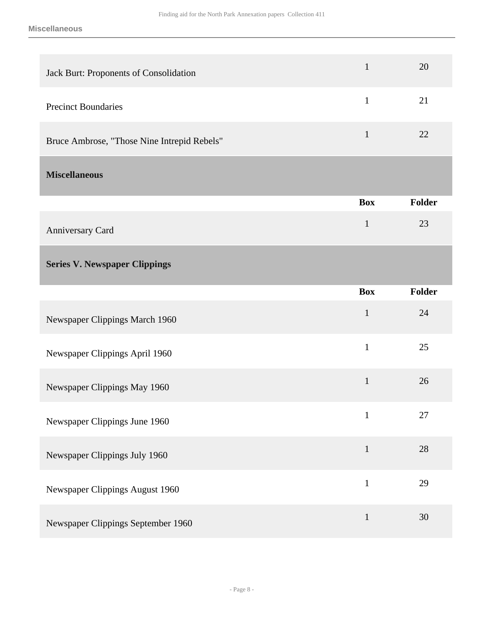<span id="page-7-1"></span><span id="page-7-0"></span>

| Jack Burt: Proponents of Consolidation      | $\mathbf{1}$ | 20     |
|---------------------------------------------|--------------|--------|
| <b>Precinct Boundaries</b>                  | $\mathbf{1}$ | 21     |
| Bruce Ambrose, "Those Nine Intrepid Rebels" | $\mathbf{1}$ | 22     |
| <b>Miscellaneous</b>                        |              |        |
|                                             | <b>Box</b>   | Folder |
| Anniversary Card                            | $\mathbf{1}$ | 23     |
| <b>Series V. Newspaper Clippings</b>        |              |        |
|                                             | <b>Box</b>   | Folder |
| Newspaper Clippings March 1960              | $\mathbf{1}$ | 24     |
| Newspaper Clippings April 1960              | $\mathbf{1}$ | 25     |
| Newspaper Clippings May 1960                | $\mathbf{1}$ | 26     |
| Newspaper Clippings June 1960               | $\mathbf{1}$ | 27     |
| Newspaper Clippings July 1960               | $\mathbf 1$  | 28     |
| Newspaper Clippings August 1960             | $\mathbf{1}$ | 29     |
| Newspaper Clippings September 1960          | $\mathbf{1}$ | 30     |